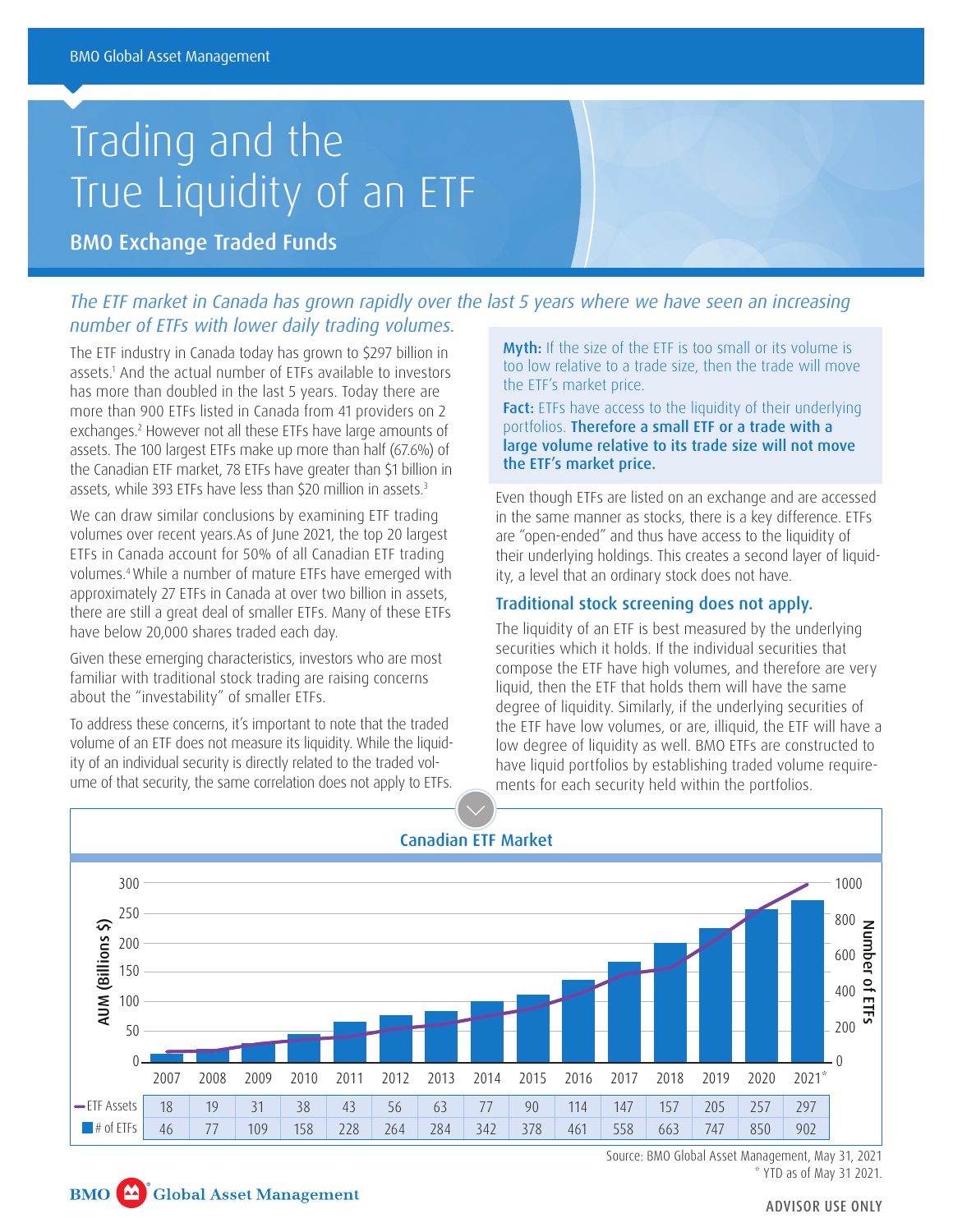# Trading and the True Liquidity of an ETF

BMO Exchange Traded Funds

# *The ETF market in Canada has grown rapidly over the last 5 years where we have seen an increasing number of ETFs with lower daily trading volumes.*

The ETF industry in Canada today has grown to \$297 billion in assets.1 And the actual number of ETFs available to investors has more than doubled in the last 5 years. Today there are more than 900 ETFs listed in Canada from 41 providers on 2 exchanges.2 However not all these ETFs have large amounts of assets. The 100 largest ETFs make up more than half (67.6%) of the Canadian ETF market, 78 ETFs have greater than \$1 billion in assets, while 393 ETFs have less than \$20 million in assets.<sup>3</sup>

We can draw similar conclusions by examining ETF trading volumes over recent years.As of June 2021, the top 20 largest ETFs in Canada account for 50% of all Canadian ETF trading volumes.4 While a number of mature ETFs have emerged with approximately 27 ETFs in Canada at over two billion in assets, there are still a great deal of smaller ETFs. Many of these ETFs have below 20,000 shares traded each day.

Given these emerging characteristics, investors who are most familiar with traditional stock trading are raising concerns about the "investability" of smaller ETFs.

To address these concerns, it's important to note that the traded volume of an ETF does not measure its liquidity. While the liquidity of an individual security is directly related to the traded volume of that security, the same correlation does not apply to ETFs.

Myth: If the size of the ETF is too small or its volume is too low relative to a trade size, then the trade will move the ETF's market price.

Fact: ETFs have access to the liquidity of their underlying portfolios. Therefore a small ETF or a trade with a large volume relative to its trade size will not move the ETF's market price.

Even though ETFs are listed on an exchange and are accessed in the same manner as stocks, there is a key difference. ETFs are "open-ended" and thus have access to the liquidity of their underlying holdings. This creates a second layer of liquidity, a level that an ordinary stock does not have.

## Traditional stock screening does not apply.

The liquidity of an ETF is best measured by the underlying securities which it holds. If the individual securities that compose the ETF have high volumes, and therefore are very liquid, then the ETF that holds them will have the same degree of liquidity. Similarly, if the underlying securities of the ETF have low volumes, or are, illiquid, the ETF will have a low degree of liquidity as well. BMO ETFs are constructed to have liquid portfolios by establishing traded volume requirements for each security held within the portfolios.



Source: BMO Global Asset Management, May 31, 2021 \* YTD as of May 31 2021.



ADVISOR USE ONLY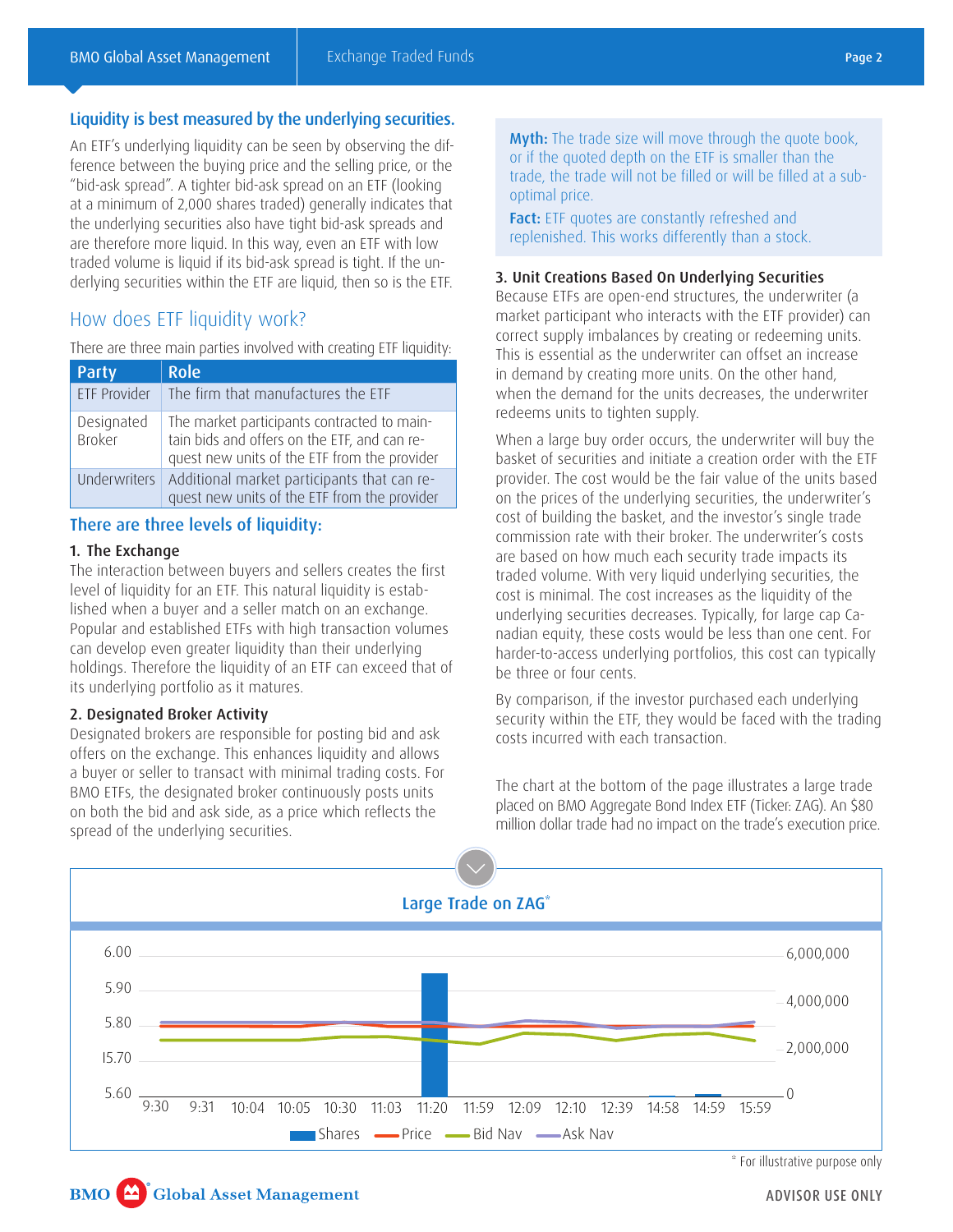## Liquidity is best measured by the underlying securities.

An ETF's underlying liquidity can be seen by observing the difference between the buying price and the selling price, or the "bid-ask spread". A tighter bid-ask spread on an ETF (looking at a minimum of 2,000 shares traded) generally indicates that the underlying securities also have tight bid-ask spreads and are therefore more liquid. In this way, even an ETF with low traded volume is liquid if its bid-ask spread is tight. If the underlying securities within the ETF are liquid, then so is the ETF.

## How does ETF liquidity work?

There are three main parties involved with creating ETF liquidity:

| Party                       | <b>Role</b>                                                                                                                                 |
|-----------------------------|---------------------------------------------------------------------------------------------------------------------------------------------|
| <b>ETF Provider</b>         | The firm that manufactures the ETF                                                                                                          |
| Designated<br><b>Broker</b> | The market participants contracted to main-<br>tain bids and offers on the ETF, and can re-<br>quest new units of the ETF from the provider |
| <b>Underwriters</b>         | Additional market participants that can re-<br>quest new units of the ETF from the provider                                                 |

## There are three levels of liquidity:

#### 1. The Exchange

The interaction between buyers and sellers creates the first level of liquidity for an ETF. This natural liquidity is established when a buyer and a seller match on an exchange. Popular and established ETFs with high transaction volumes can develop even greater liquidity than their underlying holdings. Therefore the liquidity of an ETF can exceed that of its underlying portfolio as it matures.

### 2. Designated Broker Activity

Designated brokers are responsible for posting bid and ask offers on the exchange. This enhances liquidity and allows a buyer or seller to transact with minimal trading costs. For BMO ETFs, the designated broker continuously posts units on both the bid and ask side, as a price which reflects the spread of the underlying securities.

**Myth:** The trade size will move through the quote book. or if the quoted depth on the ETF is smaller than the trade, the trade will not be filled or will be filled at a suboptimal price.

Fact: ETF quotes are constantly refreshed and replenished. This works differently than a stock.

#### 3. Unit Creations Based On Underlying Securities

Because ETFs are open-end structures, the underwriter (a market participant who interacts with the ETF provider) can correct supply imbalances by creating or redeeming units. This is essential as the underwriter can offset an increase in demand by creating more units. On the other hand, when the demand for the units decreases, the underwriter redeems units to tighten supply.

When a large buy order occurs, the underwriter will buy the basket of securities and initiate a creation order with the ETF provider. The cost would be the fair value of the units based on the prices of the underlying securities, the underwriter's cost of building the basket, and the investor's single trade commission rate with their broker. The underwriter's costs are based on how much each security trade impacts its traded volume. With very liquid underlying securities, the cost is minimal. The cost increases as the liquidity of the underlying securities decreases. Typically, for large cap Canadian equity, these costs would be less than one cent. For harder-to-access underlying portfolios, this cost can typically be three or four cents.

By comparison, if the investor purchased each underlying security within the ETF, they would be faced with the trading costs incurred with each transaction.

The chart at the bottom of the page illustrates a large trade placed on BMO Aggregate Bond Index ETF (Ticker: ZAG). An \$80 million dollar trade had no impact on the trade's execution price.



<sup>\*</sup> For illustrative purpose only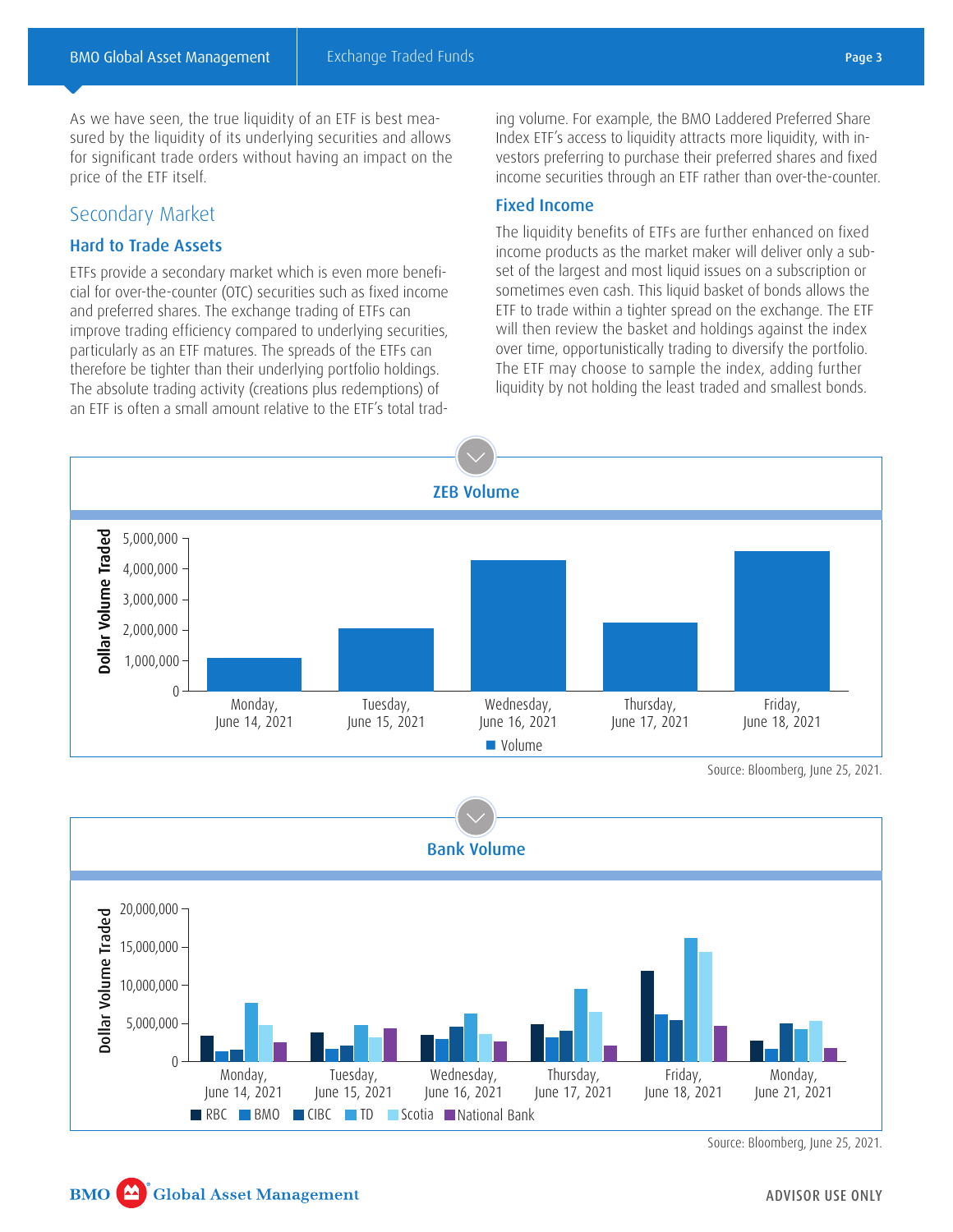As we have seen, the true liquidity of an ETF is best measured by the liquidity of its underlying securities and allows for significant trade orders without having an impact on the price of the ETF itself.

## Secondary Market

## Hard to Trade Assets

ETFs provide a secondary market which is even more beneficial for over-the-counter (OTC) securities such as fixed income and preferred shares. The exchange trading of ETFs can improve trading efficiency compared to underlying securities, particularly as an ETF matures. The spreads of the ETFs can therefore be tighter than their underlying portfolio holdings. The absolute trading activity (creations plus redemptions) of an ETF is often a small amount relative to the ETF's total trading volume. For example, the BMO Laddered Preferred Share Index ETF's access to liquidity attracts more liquidity, with investors preferring to purchase their preferred shares and fixed income securities through an ETF rather than over-the-counter.

## Fixed Income

The liquidity benefits of ETFs are further enhanced on fixed income products as the market maker will deliver only a subset of the largest and most liquid issues on a subscription or sometimes even cash. This liquid basket of bonds allows the ETF to trade within a tighter spread on the exchange. The ETF will then review the basket and holdings against the index over time, opportunistically trading to diversify the portfolio. The ETF may choose to sample the index, adding further liquidity by not holding the least traded and smallest bonds.



Source: Bloomberg, June 25, 2021.



Source: Bloomberg, June 25, 2021.